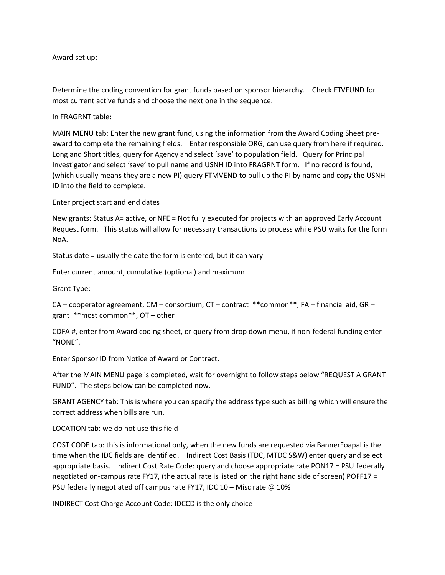#### Award set up:

Determine the coding convention for grant funds based on sponsor hierarchy. Check FTVFUND for most current active funds and choose the next one in the sequence.

In FRAGRNT table:

MAIN MENU tab: Enter the new grant fund, using the information from the Award Coding Sheet preaward to complete the remaining fields. Enter responsible ORG, can use query from here if required. Long and Short titles, query for Agency and select 'save' to population field. Query for Principal Investigator and select 'save' to pull name and USNH ID into FRAGRNT form. If no record is found, (which usually means they are a new PI) query FTMVEND to pull up the PI by name and copy the USNH ID into the field to complete.

Enter project start and end dates

New grants: Status A= active, or NFE = Not fully executed for projects with an approved Early Account Request form. This status will allow for necessary transactions to process while PSU waits for the form NoA.

Status date = usually the date the form is entered, but it can vary

Enter current amount, cumulative (optional) and maximum

Grant Type:

CA – cooperator agreement, CM – consortium, CT – contract \*\*common\*\*, FA – financial aid, GR – grant \*\*most common\*\*, OT – other

CDFA #, enter from Award coding sheet, or query from drop down menu, if non-federal funding enter "NONE".

Enter Sponsor ID from Notice of Award or Contract.

After the MAIN MENU page is completed, wait for overnight to follow steps below "REQUEST A GRANT FUND". The steps below can be completed now.

GRANT AGENCY tab: This is where you can specify the address type such as billing which will ensure the correct address when bills are run.

LOCATION tab: we do not use this field

COST CODE tab: this is informational only, when the new funds are requested via BannerFoapal is the time when the IDC fields are identified. Indirect Cost Basis (TDC, MTDC S&W) enter query and select appropriate basis. Indirect Cost Rate Code: query and choose appropriate rate PON17 = PSU federally negotiated on-campus rate FY17, (the actual rate is listed on the right hand side of screen) POFF17 = PSU federally negotiated off campus rate FY17, IDC 10 – Misc rate @ 10%

INDIRECT Cost Charge Account Code: IDCCD is the only choice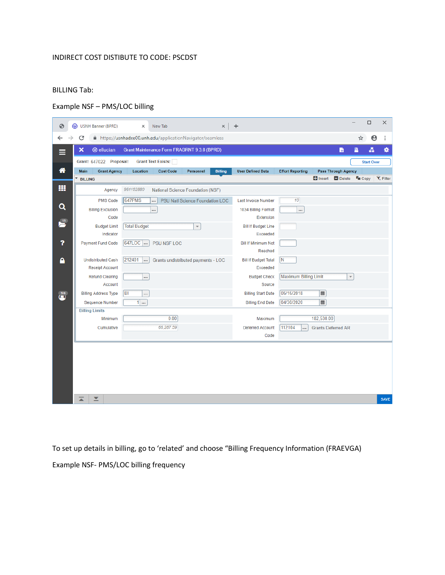## INDIRECT COST DISTIBUTE TO CODE: PSCDST

## BILLING Tab:

# Example NSF – PMS/LOC billing

| ☺                 | ◎                           | USNH Banner (BPRD)               |    | $\times$                    | New Tab                                                   |                                 | ×                        | $\ddot{}$                    |            |                            |                                 |                         | $\Box$                | ×                 |
|-------------------|-----------------------------|----------------------------------|----|-----------------------------|-----------------------------------------------------------|---------------------------------|--------------------------|------------------------------|------------|----------------------------|---------------------------------|-------------------------|-----------------------|-------------------|
|                   | C                           |                                  |    |                             | https://usnhadxe00.unh.edu/applicationNavigator/seamless  |                                 |                          |                              |            |                            |                                 | ☆                       | $\boldsymbol{\Theta}$ | $\vdots$          |
| Ξ                 | $\boldsymbol{\mathsf{x}}$   | <b>@</b> ellucian                |    |                             | Grant Maintenance Form FRAGRNT 9.3.8 (BPRD)               |                                 |                          |                              |            |                            | B                               | 昌                       | 횳                     | ₩                 |
|                   |                             | Grant: 647022 Proposal:          |    |                             | <b>Grant Text Exists:</b>                                 |                                 |                          |                              |            |                            |                                 | <b>Start Over</b>       |                       |                   |
| 卷                 | <b>Main</b>                 | <b>Grant Agency</b>              |    | Location                    | <b>Cost Code</b>                                          | Personnel                       | <b>User Defined Data</b> | <b>Effort Reporting</b>      |            | <b>Pass Through Agency</b> |                                 |                         |                       |                   |
|                   | <b>BILLING</b>              |                                  |    |                             |                                                           |                                 |                          |                              |            |                            | <b>D</b> Insert <b>D</b> Delete | $T_{\blacksquare}$ Copy |                       | <b>Y</b> . Filter |
| m                 |                             | Agency                           |    | 961152880                   | National Science Foundation (NSF)                         |                                 |                          |                              |            |                            |                                 |                         |                       |                   |
|                   |                             | <b>PMS Code</b>                  |    | 647PMS                      |                                                           | PSU Natl Science Foundation LOC |                          | <b>Last Invoice Number</b>   | 10         |                            |                                 |                         |                       |                   |
| Q                 | <b>Billing Exclusion</b>    |                                  |    | 1034 Billing Format<br><br> |                                                           |                                 |                          |                              |            |                            |                                 |                         |                       |                   |
| $\frac{13}{2}$    |                             | Code                             |    |                             |                                                           |                                 |                          | Extension                    |            |                            |                                 |                         |                       |                   |
|                   |                             | <b>Budget Limit</b>              |    | <b>Total Budget</b>         |                                                           | $\overline{\phantom{a}}$        |                          | <b>Bill If Budget Line</b>   |            |                            |                                 |                         |                       |                   |
|                   |                             | Indicator                        |    |                             |                                                           |                                 |                          | Exceeded                     |            |                            |                                 |                         |                       |                   |
| ?                 |                             | <b>Payment Fund Code</b>         |    | 647LOC                      | PSU NSF LOC                                               |                                 |                          | <b>Bill If Minimum Not</b>   |            |                            |                                 |                         |                       |                   |
|                   |                             |                                  |    |                             |                                                           |                                 |                          | Reached                      |            |                            |                                 |                         |                       |                   |
| ą                 |                             | <b>Undistributed Cash</b>        |    | 212401<br>$\ldots$          | Grants undistributed payments - LOC                       |                                 |                          | <b>Bill If Budget Total</b>  | N          |                            |                                 |                         |                       |                   |
|                   | <b>Receipt Account</b>      |                                  |    |                             |                                                           |                                 | Exceeded                 |                              |            |                            |                                 |                         |                       |                   |
|                   | <b>Refund Clearing</b><br>  |                                  |    |                             |                                                           |                                 | <b>Budget Check</b>      | <b>Maximum Billing Limit</b> |            | $\overline{\phantom{a}}$   |                                 |                         |                       |                   |
|                   |                             | Account                          |    |                             |                                                           |                                 |                          | Source                       |            |                            |                                 |                         |                       |                   |
| $\overline{1516}$ |                             | <b>Billing Address Type</b>      | BI |                             | 05/15/2018<br>$\blacksquare$<br><b>Billing Start Date</b> |                                 |                          |                              |            |                            |                                 |                         |                       |                   |
|                   |                             | <b>Sequence Number</b>           |    | $1 \, 1 \, $                |                                                           |                                 |                          | <b>Billing End Date</b>      | 04/30/2020 | $\blacksquare$             |                                 |                         |                       |                   |
|                   |                             | <b>Billing Limits</b><br>Minimum |    |                             | 0.00                                                      |                                 |                          | Maximum                      |            | 182,530.00                 |                                 |                         |                       |                   |
|                   |                             |                                  |    | 66,287.59                   |                                                           |                                 | <b>Deferred Account</b>  | 112104<br>                   |            | <b>Grants Deferred AR</b>  |                                 |                         |                       |                   |
|                   | Cumulative                  |                                  |    |                             |                                                           |                                 | Code                     |                              |            |                            |                                 |                         |                       |                   |
|                   |                             |                                  |    |                             |                                                           |                                 |                          |                              |            |                            |                                 |                         |                       |                   |
|                   |                             |                                  |    |                             |                                                           |                                 |                          |                              |            |                            |                                 |                         |                       |                   |
|                   |                             |                                  |    |                             |                                                           |                                 |                          |                              |            |                            |                                 |                         |                       |                   |
|                   |                             |                                  |    |                             |                                                           |                                 |                          |                              |            |                            |                                 |                         |                       |                   |
|                   |                             |                                  |    |                             |                                                           |                                 |                          |                              |            |                            |                                 |                         |                       |                   |
|                   |                             |                                  |    |                             |                                                           |                                 |                          |                              |            |                            |                                 |                         |                       |                   |
|                   | $\overline{\blacktriangle}$ | ⊻                                |    |                             |                                                           |                                 |                          |                              |            |                            |                                 |                         |                       | <b>SAVE</b>       |

To set up details in billing, go to 'related' and choose "Billing Frequency Information (FRAEVGA) Example NSF- PMS/LOC billing frequency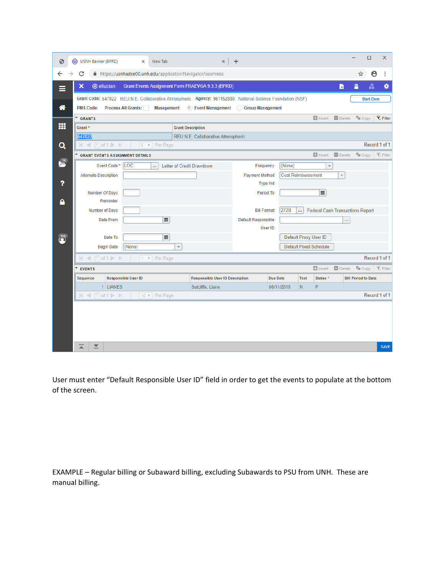| ⊛                     | USNH Banner (BPRD)<br>⓪                                                                                   |                                                          |                            | $\times$ | New Tab        |                                          |                                      | $\times$                               | $\boldsymbol{+}$                                   |  |                       |                                         |                         |                   |                                  | $\Box$                | ×             |  |
|-----------------------|-----------------------------------------------------------------------------------------------------------|----------------------------------------------------------|----------------------------|----------|----------------|------------------------------------------|--------------------------------------|----------------------------------------|----------------------------------------------------|--|-----------------------|-----------------------------------------|-------------------------|-------------------|----------------------------------|-----------------------|---------------|--|
|                       | C                                                                                                         | https://usnhadxe00.unh.edu/applicationNavigator/seamless |                            |          |                |                                          |                                      |                                        |                                                    |  |                       |                                         |                         |                   | ☆                                | $\boldsymbol{\Theta}$ | $\vdots$      |  |
|                       | ×<br><b>@</b> ellucian<br><b>Grant Events Assignment Form FRAEVGA 9.3.3 (BPRD)</b>                        |                                                          |                            |          |                |                                          |                                      |                                        |                                                    |  |                       |                                         |                         | n                 | 昌                                | 횳                     | ₩             |  |
|                       | Grant Code: 647022 REU:N.E. Collaborative Atmospheric Agency: 961152880 National Science Foundation (NSF) |                                                          |                            |          |                |                                          |                                      |                                        |                                                    |  |                       |                                         |                         | <b>Start Over</b> |                                  |                       |               |  |
| ⋒                     | <b>Process All Grants:</b><br>Management: (C) Event Management (C) Group Management<br><b>PMS Code:</b>   |                                                          |                            |          |                |                                          |                                      |                                        |                                                    |  |                       |                                         |                         |                   |                                  |                       |               |  |
|                       | $\Box$ Insert<br><b>D</b> Delete<br>$\overline{\phantom{a}}$<br>$T_{\text{III}}$ Copy<br><b>GRANTS</b>    |                                                          |                            |          |                |                                          |                                      |                                        |                                                    |  |                       |                                         |                         | <b>Y</b> , Filter |                                  |                       |               |  |
| m                     | <b>Grant Description</b><br>Grant *                                                                       |                                                          |                            |          |                |                                          |                                      |                                        |                                                    |  |                       |                                         |                         |                   |                                  |                       |               |  |
|                       | 647022                                                                                                    |                                                          |                            |          |                |                                          |                                      | REU:N.E. Collaborative Atmospheric     |                                                    |  |                       |                                         |                         |                   |                                  |                       |               |  |
| Q                     | Record 1 of 1                                                                                             |                                                          |                            |          |                |                                          |                                      |                                        |                                                    |  |                       |                                         |                         |                   |                                  |                       |               |  |
|                       |                                                                                                           | $\Box$ Insert<br><b>GRANT EVENTS ASSIGNMENT DETAILS</b>  |                            |          |                |                                          |                                      |                                        |                                                    |  | $\blacksquare$ Delete | $T_{\text{III}}$ Copy                   |                         | Y. Filter         |                                  |                       |               |  |
| $\frac{14}{\sqrt{2}}$ | Event Code*<br>LOC<br>Letter of Credit Drawdown<br>$\ddotsc$                                              |                                                          |                            |          |                |                                          | (None)<br>$\bar{\rm w}$<br>Frequency |                                        |                                                    |  |                       |                                         |                         |                   |                                  |                       |               |  |
|                       | <b>Alternate Description</b>                                                                              |                                                          |                            |          |                |                                          |                                      |                                        | <b>Cost Reimbursement</b><br><b>Payment Method</b> |  |                       |                                         | $\overline{\mathbf{v}}$ |                   |                                  |                       |               |  |
| ?                     |                                                                                                           |                                                          |                            |          |                |                                          | Type Ind                             |                                        |                                                    |  |                       |                                         |                         |                   |                                  |                       |               |  |
|                       |                                                                                                           | Number Of Days                                           |                            |          |                |                                          |                                      | $\blacksquare$<br>Period To            |                                                    |  |                       |                                         |                         |                   |                                  |                       |               |  |
|                       |                                                                                                           | Reminder                                                 |                            |          |                |                                          |                                      |                                        |                                                    |  |                       |                                         |                         |                   |                                  |                       |               |  |
|                       |                                                                                                           | Number of Days                                           |                            |          |                | 272B<br><b>Bill Format</b><br>$\cdots$   |                                      |                                        |                                                    |  |                       | <b>Federal Cash Transactions Report</b> |                         |                   |                                  |                       |               |  |
|                       |                                                                                                           | Date From                                                |                            |          | $\blacksquare$ |                                          | Default Responsible<br>User ID       |                                        |                                                    |  |                       |                                         |                         |                   |                                  |                       |               |  |
| $\overline{516}$      |                                                                                                           | Date To                                                  |                            |          | $\blacksquare$ |                                          |                                      |                                        |                                                    |  |                       | Default Proxy User ID                   |                         |                   |                                  |                       |               |  |
|                       |                                                                                                           | <b>Begin Date</b>                                        | (None)                     |          |                | $\overline{\phantom{a}}$                 |                                      | <b>Default Fixed Schedule</b>          |                                                    |  |                       |                                         |                         |                   |                                  |                       |               |  |
|                       | $ $ $\le$ 1 0f 1 $\triangleright$ $\triangleright$                                                        |                                                          |                            |          | 1 v Per Page   |                                          |                                      |                                        |                                                    |  |                       |                                         |                         |                   |                                  |                       | Record 1 of 1 |  |
|                       | <b>EVENTS</b>                                                                                             |                                                          |                            |          |                |                                          |                                      |                                        |                                                    |  |                       |                                         | $\Box$ Insert           | Delete            | $\mathbb{F}_{\blacksquare}$ Copy |                       | Y. Filter     |  |
|                       | Sequence                                                                                                  |                                                          | <b>Responsible User ID</b> |          |                |                                          |                                      | <b>Responsible User ID Description</b> |                                                    |  | <b>Due Date</b>       | <b>Text</b>                             | Status *                |                   | <b>Bill Period to Date</b>       |                       |               |  |
|                       |                                                                                                           | 1 LIANES                                                 |                            |          |                | P<br>Sutcliffe, Liane<br>06/11/2018<br>N |                                      |                                        |                                                    |  |                       |                                         |                         |                   |                                  |                       |               |  |
|                       | $ $ $\le$ 1 of 1 $\ge$ 1<br>10 v Per Page                                                                 |                                                          |                            |          |                |                                          |                                      |                                        |                                                    |  |                       |                                         |                         |                   |                                  | Record 1 of 1         |               |  |
|                       |                                                                                                           |                                                          |                            |          |                |                                          |                                      |                                        |                                                    |  |                       |                                         |                         |                   |                                  |                       |               |  |
|                       |                                                                                                           |                                                          |                            |          |                |                                          |                                      |                                        |                                                    |  |                       |                                         |                         |                   |                                  |                       |               |  |
|                       |                                                                                                           |                                                          |                            |          |                |                                          |                                      |                                        |                                                    |  |                       |                                         |                         |                   |                                  |                       |               |  |
|                       |                                                                                                           |                                                          |                            |          |                |                                          |                                      |                                        |                                                    |  |                       |                                         |                         |                   |                                  |                       |               |  |
|                       | $\overline{\blacktriangle}$<br>▼                                                                          |                                                          |                            |          |                |                                          |                                      |                                        |                                                    |  |                       |                                         |                         |                   |                                  |                       | <b>SAVE</b>   |  |

User must enter "Default Responsible User ID" field in order to get the events to populate at the bottom of the screen.

EXAMPLE – Regular billing or Subaward billing, excluding Subawards to PSU from UNH. These are manual billing.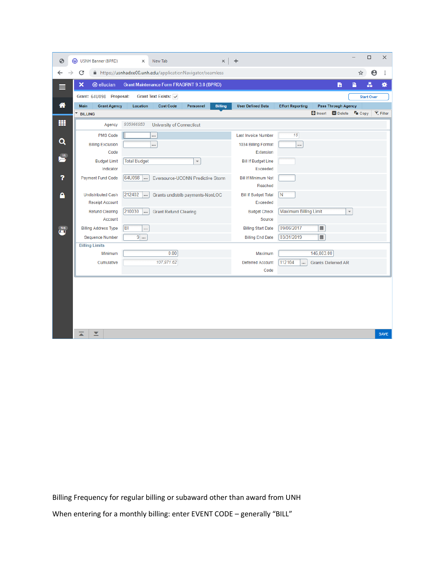| $\odot$                  | USNH Banner (BPRD)<br>◎                        | New Tab<br>$\times$                                        | ×                                 | $\ddot{}$                   |                              |                                 |                         | $\Box$<br>$\times$ |
|--------------------------|------------------------------------------------|------------------------------------------------------------|-----------------------------------|-----------------------------|------------------------------|---------------------------------|-------------------------|--------------------|
| ←                        | C                                              | A https://usnhadxe00.unh.edu/applicationNavigator/seamless |                                   |                             |                              |                                 | ☆                       | Θ<br>$\vdots$      |
|                          | $\boldsymbol{\mathsf{x}}$<br><b>@</b> ellucian | Grant Maintenance Form FRAGRNT 9.3.8 (BPRD)                |                                   |                             |                              | B                               | 昌                       | ₩<br>Ā.            |
|                          | Grant: 64U098 Proposal:                        | Grant Text Exists:                                         |                                   |                             |                              |                                 |                         | <b>Start Over</b>  |
| 俗                        | Main<br><b>Grant Agency</b>                    | <b>Cost Code</b><br>Location                               | <b>Billing</b><br>Personnel       | <b>User Defined Data</b>    | <b>Effort Reporting</b>      | <b>Pass Through Agency</b>      |                         |                    |
|                          | <b>BILLING</b>                                 |                                                            |                                   |                             |                              | <b>D</b> Insert <b>D</b> Delete | $F_{\blacksquare}$ Copy | <b>Y</b> , Filter  |
| m                        | Agency                                         | 935966953<br><b>University of Connecticut</b>              |                                   |                             |                              |                                 |                         |                    |
|                          | PMS Code                                       |                                                            |                                   | <b>Last Invoice Number</b>  | 15                           |                                 |                         |                    |
| Q                        | <b>Billing Exclusion</b>                       |                                                            |                                   | 1034 Billing Format         | $\cdots$                     |                                 |                         |                    |
|                          | Code                                           |                                                            |                                   | Extension                   |                              |                                 |                         |                    |
| $\frac{15}{2}$           | <b>Budget Limit</b>                            | <b>Total Budget</b>                                        | $\overline{\mathbf{v}}$           | <b>Bill If Budget Line</b>  |                              |                                 |                         |                    |
|                          | Indicator                                      |                                                            |                                   | Exceeded                    |                              |                                 |                         |                    |
| 2                        | <b>Payment Fund Code</b>                       | 64U098<br>                                                 | Eversource-UCONN Predictive Storm | <b>Bill If Minimum Not</b>  |                              |                                 |                         |                    |
|                          |                                                |                                                            |                                   | Reached                     |                              |                                 |                         |                    |
| ۹                        | <b>Undistributed Cash</b>                      | 212402<br>                                                 | Grants undistrib payments-NonLOC  | <b>Bill If Budget Total</b> | N                            |                                 |                         |                    |
|                          | Receipt Account                                |                                                            |                                   | Exceeded                    |                              |                                 |                         |                    |
|                          | <b>Refund Clearing</b>                         | 210030<br><b>Grant Refund Clearing</b><br>$\cdots$         |                                   | <b>Budget Check</b>         | <b>Maximum Billing Limit</b> |                                 |                         |                    |
|                          | Account                                        |                                                            |                                   | Source                      |                              |                                 |                         |                    |
| $\overset{516}{\bullet}$ | <b>Billing Address Type</b>                    | BI<br>                                                     |                                   | <b>Billing Start Date</b>   | 09/06/2017                   | $\blacksquare$                  |                         |                    |
|                          | <b>Sequence Number</b>                         | $9$                                                        |                                   | <b>Billing End Date</b>     | 03/31/2019                   | $\blacksquare$                  |                         |                    |
|                          | <b>Billing Limits</b>                          |                                                            |                                   |                             |                              |                                 |                         |                    |
|                          | Minimum                                        | 0.00                                                       |                                   | Maximum                     |                              | 146,803.00                      |                         |                    |
|                          | Cumulative                                     | 107,971.62                                                 |                                   | <b>Deferred Account</b>     | 112104<br>                   | <b>Grants Deferred AR</b>       |                         |                    |
|                          |                                                |                                                            |                                   | Code                        |                              |                                 |                         |                    |
|                          |                                                |                                                            |                                   |                             |                              |                                 |                         |                    |
|                          |                                                |                                                            |                                   |                             |                              |                                 |                         |                    |
|                          |                                                |                                                            |                                   |                             |                              |                                 |                         |                    |
|                          |                                                |                                                            |                                   |                             |                              |                                 |                         |                    |
|                          |                                                |                                                            |                                   |                             |                              |                                 |                         |                    |
|                          |                                                |                                                            |                                   |                             |                              |                                 |                         |                    |
|                          | ≍<br>▼                                         |                                                            |                                   |                             |                              |                                 |                         | <b>SAVE</b>        |

Billing Frequency for regular billing or subaward other than award from UNH When entering for a monthly billing: enter EVENT CODE - generally "BILL"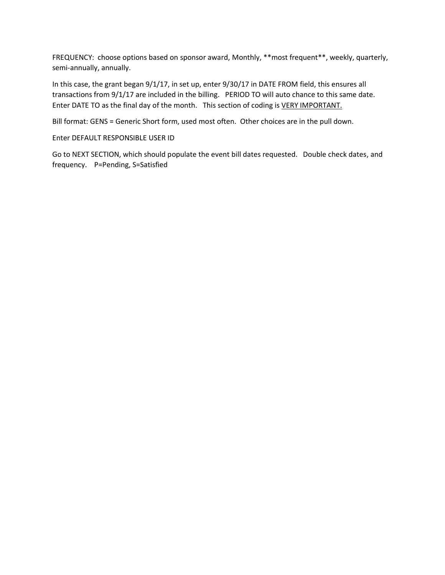FREQUENCY: choose options based on sponsor award, Monthly, \*\*most frequent\*\*, weekly, quarterly, semi-annually, annually.

In this case, the grant began 9/1/17, in set up, enter 9/30/17 in DATE FROM field, this ensures all transactions from 9/1/17 are included in the billing. PERIOD TO will auto chance to this same date. Enter DATE TO as the final day of the month. This section of coding is VERY IMPORTANT.

Bill format: GENS = Generic Short form, used most often. Other choices are in the pull down.

Enter DEFAULT RESPONSIBLE USER ID

Go to NEXT SECTION, which should populate the event bill dates requested. Double check dates, and frequency. P=Pending, S=Satisfied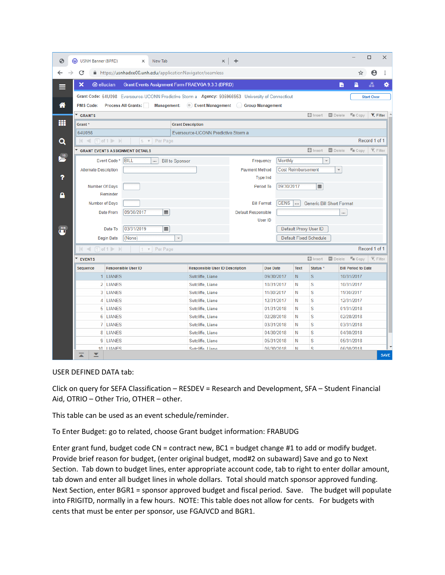| ⊛                                                                            | <b>3</b> USNH Banner (BPRD)                                                                             |                   | $\times$                   | New Tab                    | $\times$                                                                                           | $\ddot{}$                              |                           |                      |                                          |               |                            |                                 | $\Box$            | $\times$    |  |  |  |
|------------------------------------------------------------------------------|---------------------------------------------------------------------------------------------------------|-------------------|----------------------------|----------------------------|----------------------------------------------------------------------------------------------------|----------------------------------------|---------------------------|----------------------|------------------------------------------|---------------|----------------------------|---------------------------------|-------------------|-------------|--|--|--|
| С<br>https://usnhadxe00.unh.edu/applicationNavigator/seamless<br>Θ<br>÷<br>☆ |                                                                                                         |                   |                            |                            |                                                                                                    |                                        |                           |                      |                                          |               |                            |                                 |                   |             |  |  |  |
|                                                                              | ×<br><b>@</b> ellucian<br>Grant Events Assignment Form FRAEVGA 9.3.3 (BPRD)<br>n                        |                   |                            |                            |                                                                                                    |                                        |                           |                      |                                          |               |                            | B                               | å                 | ₩           |  |  |  |
|                                                                              |                                                                                                         |                   |                            |                            | Grant Code: 64U098 Eversource-UCONN Predictive Storm a Agency: 935966953 University of Connecticut |                                        |                           |                      |                                          |               |                            |                                 | <b>Start Over</b> |             |  |  |  |
| A                                                                            | <b>PMS Code:</b>                                                                                        |                   | <b>Process All Grants:</b> |                            | Management: C Event Management Group Management                                                    |                                        |                           |                      |                                          |               |                            |                                 |                   |             |  |  |  |
|                                                                              | Insert <b>Delete L</b> Copy<br>GRANTS                                                                   |                   |                            |                            |                                                                                                    |                                        |                           |                      |                                          |               |                            |                                 | Y. Filter         |             |  |  |  |
| m                                                                            | Grant *                                                                                                 |                   |                            |                            | <b>Grant Description</b>                                                                           |                                        |                           |                      |                                          |               |                            |                                 |                   |             |  |  |  |
|                                                                              | 64U098                                                                                                  |                   |                            |                            |                                                                                                    | Eversource-UCONN Predictive Storm a    |                           |                      |                                          |               |                            |                                 |                   |             |  |  |  |
| Q                                                                            | 5 v Per Page<br>$ $ $\le$ 1 of 1 $\ge$ $\ge$<br>$\Box$ Insert<br><b>GRANT EVENTS ASSIGNMENT DETAILS</b> |                   |                            |                            |                                                                                                    |                                        |                           |                      |                                          |               |                            | Record 1 of 1                   |                   |             |  |  |  |
|                                                                              |                                                                                                         |                   |                            |                            |                                                                                                    |                                        |                           |                      |                                          |               | $\Box$ Delete              | $\Gamma$ Copy $\Gamma$ , Filter |                   |             |  |  |  |
| $\frac{15}{2}$                                                               |                                                                                                         | Event Code*       | <b>BILL</b>                | <br><b>Bill to Sponsor</b> |                                                                                                    | Frequency                              | Monthly                   |                      |                                          |               |                            |                                 |                   |             |  |  |  |
|                                                                              | <b>Alternate Description</b>                                                                            |                   |                            |                            |                                                                                                    |                                        | <b>Cost Reimbursement</b> |                      |                                          |               |                            |                                 |                   |             |  |  |  |
| ?                                                                            |                                                                                                         |                   |                            |                            |                                                                                                    | <b>Type Ind</b>                        |                           |                      |                                          |               |                            |                                 |                   |             |  |  |  |
|                                                                              | Number Of Days                                                                                          |                   |                            |                            |                                                                                                    | 09/30/2017                             |                           |                      |                                          |               |                            |                                 |                   |             |  |  |  |
|                                                                              | Reminder                                                                                                |                   |                            |                            |                                                                                                    |                                        |                           |                      |                                          |               |                            |                                 |                   |             |  |  |  |
|                                                                              | Number of Days                                                                                          |                   |                            |                            |                                                                                                    | <b>Bill Format</b>                     |                           |                      | GENS<br><b>Generic Bill Short Format</b> |               |                            |                                 |                   |             |  |  |  |
|                                                                              |                                                                                                         | Date From         | 09/30/2017                 | $\blacksquare$             | <b>Default Responsible</b>                                                                         |                                        |                           | $\cdots$             |                                          |               |                            |                                 |                   |             |  |  |  |
|                                                                              |                                                                                                         |                   |                            |                            |                                                                                                    | User ID                                |                           |                      |                                          |               |                            |                                 |                   |             |  |  |  |
| $\overline{15}$                                                              |                                                                                                         | Date To           | 03/31/2019                 | $\blacksquare$             |                                                                                                    | Default Proxy User ID                  |                           |                      |                                          |               |                            |                                 |                   |             |  |  |  |
|                                                                              |                                                                                                         | <b>Begin Date</b> | (None)                     | $\overline{\phantom{a}}$   |                                                                                                    | <b>Default Fixed Schedule</b>          |                           |                      |                                          |               |                            |                                 |                   |             |  |  |  |
|                                                                              | $\leq$ 1 of 1 $\geq$ $\geq$<br>K.                                                                       |                   |                            | 1 v Per Page               |                                                                                                    |                                        |                           |                      |                                          |               |                            |                                 | Record 1 of 1     |             |  |  |  |
|                                                                              | <b>EVENTS</b>                                                                                           |                   |                            |                            |                                                                                                    |                                        |                           |                      |                                          | $\Box$ Insert | Delete                     | $T_{\text{III}}$ Copy           | Y. Filter         |             |  |  |  |
|                                                                              | Sequence                                                                                                |                   | <b>Responsible User ID</b> |                            |                                                                                                    | <b>Responsible User ID Description</b> |                           |                      | <b>Text</b>                              | Status *      | <b>Bill Period to Date</b> |                                 |                   |             |  |  |  |
|                                                                              |                                                                                                         | 1 LIANES          |                            |                            | Sutcliffe, Liane                                                                                   |                                        |                           | 09/30/2017           | N                                        | S             | 10/31/2017                 |                                 |                   |             |  |  |  |
|                                                                              |                                                                                                         | 2 LIANES          |                            |                            | Sutcliffe, Liane                                                                                   |                                        |                           |                      | 10/31/2017<br>N                          |               | 10/31/2017                 |                                 |                   |             |  |  |  |
|                                                                              |                                                                                                         | 3 LIANES          |                            |                            | Sutcliffe, Liane                                                                                   |                                        |                           | 11/30/2017<br>N      |                                          | S             | 11/30/2017                 |                                 |                   |             |  |  |  |
|                                                                              |                                                                                                         | 4 LIANES          |                            |                            | Sutcliffe, Liane                                                                                   |                                        |                           | 12/31/2017<br>N      |                                          | S             |                            | 12/31/2017                      |                   |             |  |  |  |
|                                                                              | 5 LIANES                                                                                                |                   |                            |                            | Sutcliffe, Liane                                                                                   |                                        |                           | 01/31/2018<br>N      |                                          | S             | 01/31/2018                 |                                 |                   |             |  |  |  |
|                                                                              | 6 LIANES                                                                                                |                   |                            |                            | Sutcliffe, Liane                                                                                   |                                        |                           | 02/28/2018<br>N      |                                          | S             | 02/28/2018                 |                                 |                   |             |  |  |  |
|                                                                              |                                                                                                         | 7 LIANES          |                            |                            | Sutcliffe, Liane                                                                                   |                                        | 03/31/2018                |                      | S<br>N                                   |               |                            | 03/31/2018                      |                   |             |  |  |  |
|                                                                              |                                                                                                         | 8 LIANES          |                            |                            | Sutcliffe, Liane                                                                                   |                                        | 04/30/2018<br>N           |                      |                                          | S             |                            | 04/30/2018                      |                   |             |  |  |  |
|                                                                              |                                                                                                         | 9 LIANES          |                            |                            | Sutcliffe, Liane                                                                                   |                                        |                           | S<br>05/31/2018<br>N |                                          |               |                            | 05/31/2018                      |                   |             |  |  |  |
|                                                                              | ▼<br>≍                                                                                                  | 10 I IANES        |                            |                            | Suteliffe Liane                                                                                    |                                        |                           | 06/30/2018           | N                                        | s             |                            | 06/30/2018                      |                   | <b>SAVE</b> |  |  |  |
|                                                                              |                                                                                                         |                   |                            |                            |                                                                                                    |                                        |                           |                      |                                          |               |                            |                                 |                   |             |  |  |  |

USER DEFINED DATA tab:

Click on query for SEFA Classification – RESDEV = Research and Development, SFA – Student Financial Aid, OTRIO – Other Trio, OTHER – other.

This table can be used as an event schedule/reminder.

To Enter Budget: go to related, choose Grant budget information: FRABUDG

Enter grant fund, budget code CN = contract new, BC1 = budget change #1 to add or modify budget. Provide brief reason for budget, (enter original budget, mod#2 on subaward) Save and go to Next Section. Tab down to budget lines, enter appropriate account code, tab to right to enter dollar amount, tab down and enter all budget lines in whole dollars. Total should match sponsor approved funding. Next Section, enter BGR1 = sponsor approved budget and fiscal period. Save. The budget will populate into FRIGITD, normally in a few hours. NOTE: This table does not allow for cents. For budgets with cents that must be enter per sponsor, use FGAJVCD and BGR1.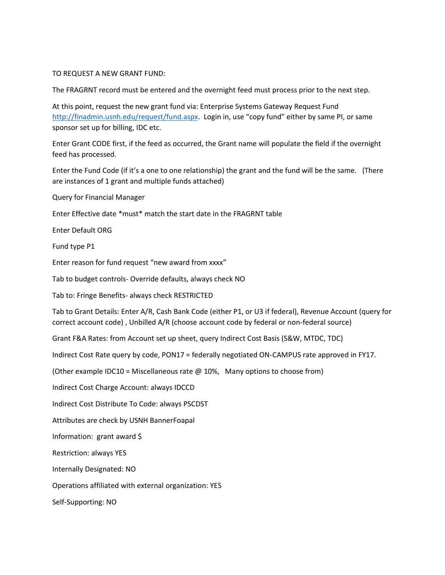### TO REQUEST A NEW GRANT FUND:

The FRAGRNT record must be entered and the overnight feed must process prior to the next step.

At this point, request the new grant fund via: Enterprise Systems Gateway Request Fund <http://finadmin.usnh.edu/request/fund.aspx>. Login in, use "copy fund" either by same PI, or same sponsor set up for billing, IDC etc.

Enter Grant CODE first, if the feed as occurred, the Grant name will populate the field if the overnight feed has processed.

Enter the Fund Code (if it's a one to one relationship) the grant and the fund will be the same. (There are instances of 1 grant and multiple funds attached)

Query for Financial Manager

Enter Effective date \*must\* match the start date in the FRAGRNT table

Enter Default ORG

Fund type P1

Enter reason for fund request "new award from xxxx"

Tab to budget controls- Override defaults, always check NO

Tab to: Fringe Benefits- always check RESTRICTED

Tab to Grant Details: Enter A/R, Cash Bank Code (either P1, or U3 if federal), Revenue Account (query for correct account code) , Unbilled A/R (choose account code by federal or non-federal source)

Grant F&A Rates: from Account set up sheet, query Indirect Cost Basis (S&W, MTDC, TDC)

Indirect Cost Rate query by code, PON17 = federally negotiated ON-CAMPUS rate approved in FY17.

(Other example IDC10 = Miscellaneous rate @ 10%, Many options to choose from)

Indirect Cost Charge Account: always IDCCD

Indirect Cost Distribute To Code: always PSCDST

Attributes are check by USNH BannerFoapal

Information: grant award \$

Restriction: always YES

Internally Designated: NO

Operations affiliated with external organization: YES

Self-Supporting: NO